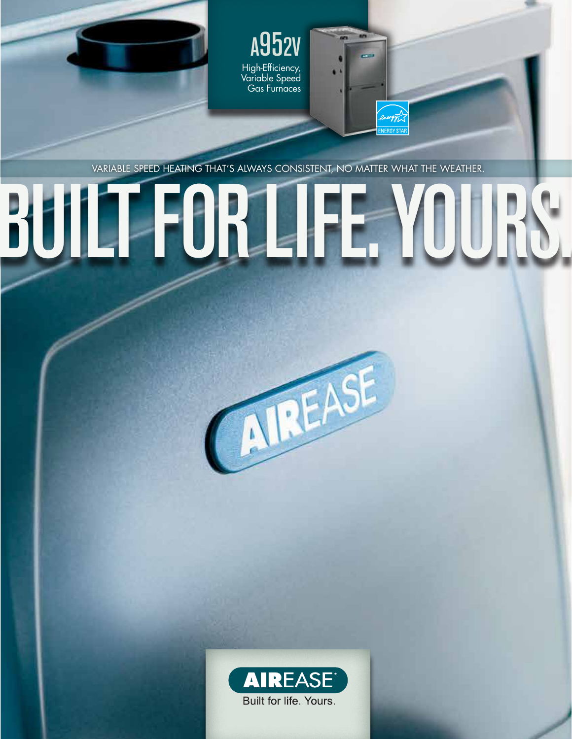

m

ngy<sub>1</sub>

Variable speed heating that's always consistent, no matter what the weather.

# BUILT FOR L



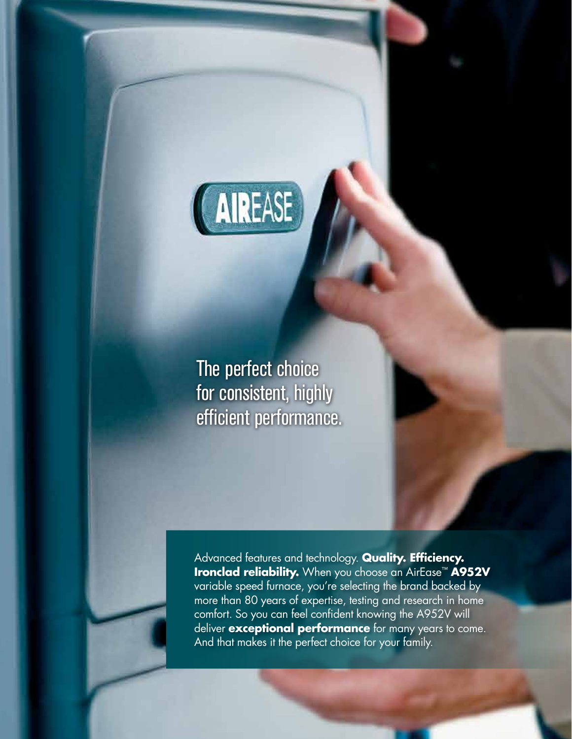

The perfect choice for consistent, highly efficient performance.

Advanced features and technology. **Quality. Efficiency. Ironclad reliability.** When you choose an AirEase™ **A952V** variable speed furnace, you're selecting the brand backed by more than 80 years of expertise, testing and research in home comfort. So you can feel confident knowing the A952V will deliver **exceptional performance** for many years to come. And that makes it the perfect choice for your family.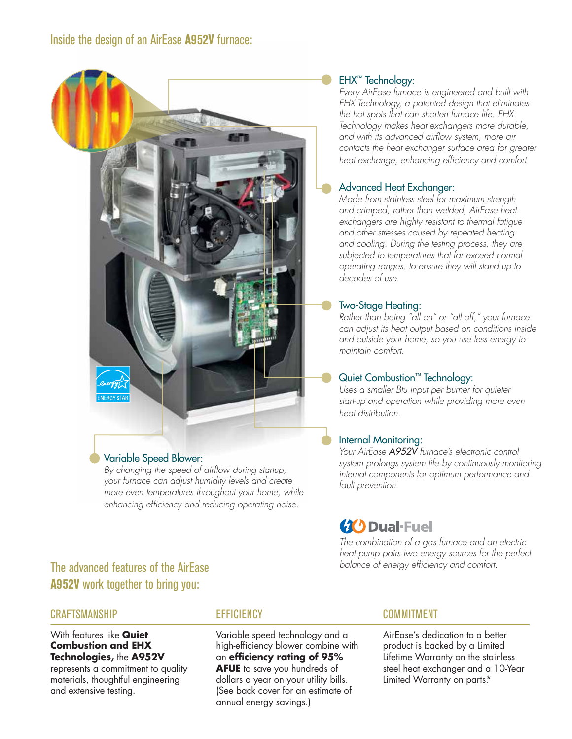#### Variable Speed Blower:

*By changing the speed of airflow during startup, your furnace can adjust humidity levels and create more even temperatures throughout your home, while enhancing efficiency and reducing operating noise.*

# **A952V** work together to bring you:

#### **CRAFTSMANSHIP**

With features like **Quiet Combustion and EHX Technologies,** the **A952V**

represents a commitment to quality materials, thoughtful engineering and extensive testing.

#### **EFFICIENCY**

Variable speed technology and a high-efficiency blower combine with an **efficiency rating of 95% AFUE** to save you hundreds of dollars a year on your utility bills. (See back cover for an estimate of annual energy savings.)

#### EHX™ Technology:

*Every AirEase furnace is engineered and built with EHX Technology, a patented design that eliminates the hot spots that can shorten furnace life. EHX Technology makes heat exchangers more durable, and with its advanced airflow system, more air contacts the heat exchanger surface area for greater heat exchange, enhancing efficiency and comfort.*

#### Advanced Heat Exchanger:

*Made from stainless steel for maximum strength and crimped, rather than welded, AirEase heat exchangers are highly resistant to thermal fatigue and other stresses caused by repeated heating and cooling. During the testing process, they are subjected to temperatures that far exceed normal operating ranges, to ensure they will stand up to decades of use.*

#### Two-Stage Heating:

*Rather than being "all on" or "all off," your furnace can adjust its heat output based on conditions inside and outside your home, so you use less energy to maintain comfort.*

#### Quiet Combustion™ Technology:

*Uses a smaller Btu input per burner for quieter start-up and operation while providing more even heat distribution.*

#### Internal Monitoring:

*Your AirEase A952V furnace's electronic control system prolongs system life by continuously monitoring internal components for optimum performance and fault prevention.*

### **(1)** Dual-Fuel

*The combination of a gas furnace and an electric heat pump pairs two energy sources for the perfect*  **The advanced features of the AirEase balance** of energy efficiency and comfort.

#### COMMITMENT

AirEase's dedication to a better product is backed by a Limited Lifetime Warranty on the stainless steel heat exchanger and a 10-Year Limited Warranty on parts.\*